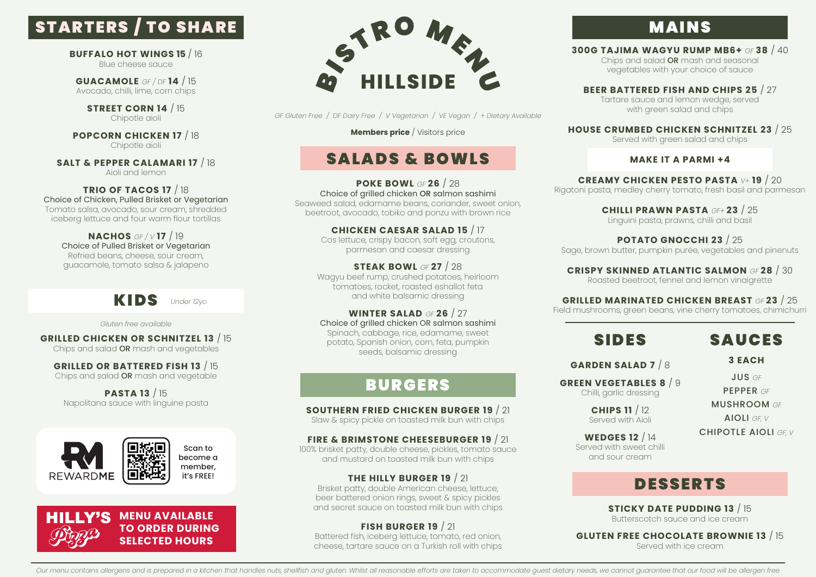# STARTERS / TO SHARE

**BUFFALO HOT WINGS 15** / 16 Blue cheese sauce

**GUACAMOLE** *GF / DF* **14** / 15 Avocado, chilli, lime, corn chips

**STREET CORN 14** / 15 Chipotle aioli

**POPCORN CHICKEN 17** / 18 Chipotle aioli

**SALT & PEPPER CALAMARI 17** / 18 Aioli and lemon

**TRIO OF TACOS 17** / 18 Choice of Chicken, Pulled Brisket or Vegetarian Tomato salsa, avocado, sour cream, shredded iceberg lettuce and four warm flour tortillas

**NACHOS** *GF / V* **17** / 19 Choice of Pulled Brisket or Vegetarian Refried beans, cheese, sour cream, guacamole, tomato salsa & jalapeno



*Gluten free available*

**GRILLED CHICKEN OR SCHNITZEL 13** / 15 Chips and salad OR mash and vegetables

**GRILLED OR BATTERED FISH 13** / 15 Chips and salad OR mash and vegetable

**PASTA 13** / 15 Napolitana sauce with linguine pasta







*GF Gluten Free / DF Dairy Free / V Vegetarian / VE Vegan / + Dietary Available*

**Members price** / Visitors price

# SALADS & BOWLS

**POKE BOWL** *GF* **26** / 28 Choice of grilled chicken OR salmon sashimi Seaweed salad, edamame beans, coriander, sweet onion, beetroot, avocado, tobiko and ponzu with brown rice

> **CHICKEN CAESAR SALAD 15** / 17 Cos lettuce, crispy bacon, soft egg, croutons, parmesan and caesar dressing

**STEAK BOWL** *GF* **27** / 28 Wagyu beef rump, crushed potatoes, heirloom tomatoes, rocket, roasted eshallot feta and white balsamic dressing

**WINTER SALAD** *GF* **26** / 27 Choice of grilled chicken OR salmon sashimi Spinach, cabbage, rice, edamame, sweet potato, Spanish onion, corn, feta, pumpkin seeds, balsamic dressing

# **BURGERS**

### **SOUTHERN FRIED CHICKEN BURGER 19** / 21

Slaw & spicy pickle on toasted milk bun with chips

**FIRE & BRIMSTONE CHEESEBURGER 19** / 21

100% brisket patty, double cheese, pickles, tomato sauce and mustard on toasted milk bun with chips

**THE HILLY BURGER 19** / 21

Brisket patty, double American cheese, lettuce, beer battered onion rings, sweet & spicy pickles and secret sauce on toasted milk bun with chips

**FISH BURGER 19** / 21 Battered fish, iceberg lettuce, tomato, red onion, cheese, tartare sauce on a Turkish roll with chips

# **MAINS**

**300G TAJIMA WAGYU RUMP MB6+** *GF* **38** / 40 Chips and salad OR mash and seasonal

vegetables with your choice of sauce

**BEER BATTERED FISH AND CHIPS 25** / 27 Tartare sauce and lemon wedge, served with green salad and chips

**HOUSE CRUMBED CHICKEN SCHNITZEL 23** / 25

Served with green salad and chips

### **MAKE IT A PARMI +4**

**CREAMY CHICKEN PESTO PASTA** *V+* **19** / 20 Rigatoni pasta, medley cherry tomato, fresh basil and parmesan

> **CHILLI PRAWN PASTA** *GF+* **23** / 25 Linguini pasta, prawns, chilli and basil

**POTATO GNOCCHI 23** / 25 Sage, brown butter, pumpkin purée, vegetables and pinenuts

**CRISPY SKINNED ATLANTIC SALMON** *GF* **28** / 30 Roasted beetroot, fennel and lemon vinaigrette

### **GRILLED MARINATED CHICKEN BREAST** *GF* **23** / 25

Field mushrooms, green beans, vine cherry tomatoes, chimichurri

# SIDES

SAUCES

**3 EACH**

**GARDEN SALAD 7** / 8

**GREEN VEGETABLES 8** / 9 Chilli, garlic dressing

JUS *GF* PEPPER *GF*

**CHIPS 11** / 12 Served with Aioli MUSHROOM *GF* AIOLI *GF, V*

CHIPOTLE AIOLI *GF, V*

**WEDGES 12** / 14 Served with sweet chilli and sour cream

DESSERTS

**STICKY DATE PUDDING 13** / 15 Butterscotch sauce and ice cream

**GLUTEN FREE CHOCOLATE BROWNIE 13** / 15 Served with ice cream

Our menu contains allergens and is prepared in a kitchen that handles nuts, shellfish and gluten. Whilst all reasonable efforts are taken to accommodate quest dietary needs, we cannot guarantee that our food will be allerg